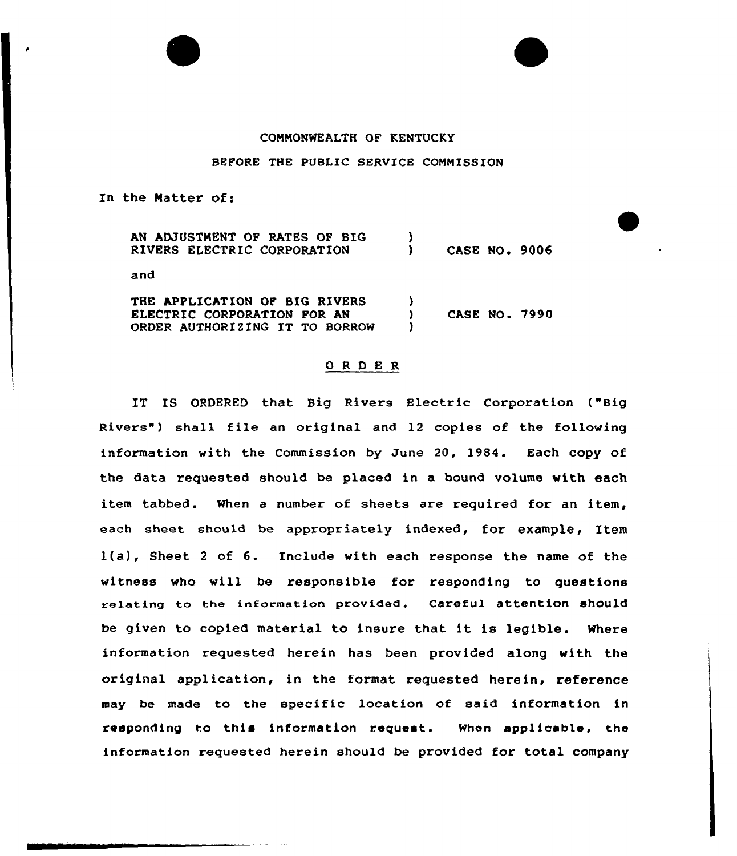#### CONNONWEALTH OF KENTUCKY

## BEFORE THE PUBLIC SERVICE COMMISSION

In the Natter of:

| AN ADJUSTMENT OF RATES OF BIG      |                      |
|------------------------------------|----------------------|
| <b>RIVERS ELECTRIC CORPORATION</b> | <b>CASE NO. 9006</b> |
| and                                |                      |
| THE APPLICATION OF BIG RIVERS      |                      |
| ELECTRIC CORPORATION FOR AN        | <b>CASE NO. 7990</b> |
| ORDER AUTHORIZING IT TO BORROW     |                      |

#### ORDER

IT IS ORDERED that Big Rivers Electric Corporation ("Big Rivers") shall file an original and 12 copies of the following information with the Commission by June 20, 1984. Each copy of the data requested should be placed in a bound volume with each item tabbed. When a number of sheets are required for an item, each sheet should be appropriately indexed, for example, Item l(a), Sheet <sup>2</sup> of 6. Include with each response the name of the witness who will be responsible for responding to questions relating to the information provided. Careful attention shou1d be given to copied material to insure that it is legible. Where information requested herein has been provided along with the original application, in the format. requested herein, reference may be made to the specific location of said information in responding to this information request. When applicable, the information requested herein should be provided for total company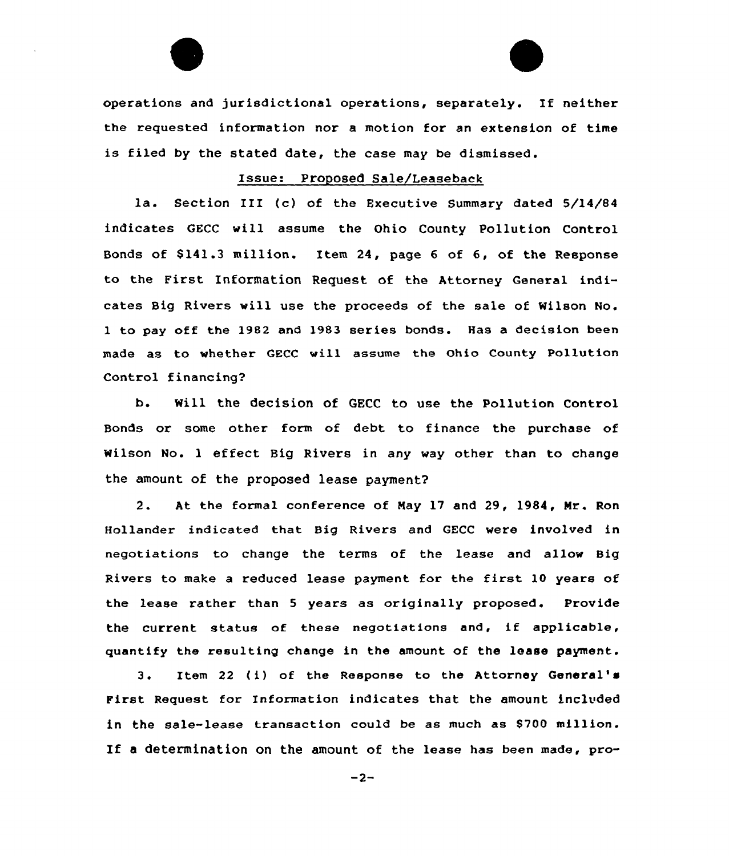operations and jurisdictional operations, separately. If neither the requested information nor a motion for an extension of time is filed by the stated date, the case may be dismissed.

## Issue: Proposed Sale/Leaseback

la. Section III (c} of the Executive Summary dated 5/14/84 indicates GECC will assume the Ohio County Pollution Control Bonds of \$141.3 million. Item 24, page 6 of 6, of the Response to the First Information Request of the Attorney General indicates Big Rivers will use the proceeds of the sale of Wilson No. 1 to pay off the 1982 and 1983 series bonds. Has a decision been made as to whether GECC will assume the Ohio County Pollution Control financing?

b. Will the decision of GECC to use the Pollution Control Bonds or some other form of debt to finance the purchase of Wilson No. <sup>1</sup> effect Big Rivers in any way other than to change the amount of the proposed lease payment?

2. At the formal conference of Nay 17 and 29, 1984, Nr. Ron Hollander indicated that Big Rivers and GECC were involved in negotiations to change the terms of the lease and allow Big Rivers to make <sup>a</sup> reduced lease payment for the first 10 years of the lease rather than 5 years as originally proposed. Provide the current status of these negotiations and, if applicable, quantify the resulting change in the amount of the lease payment.

3. Item 22 (i) of the Response to the Attorney General's First Request for Information indicates that the amount included in the sale-lease transaction could be as much as 8700 million. If <sup>a</sup> determination on the amount of the lease has been made, pro-

 $-2-$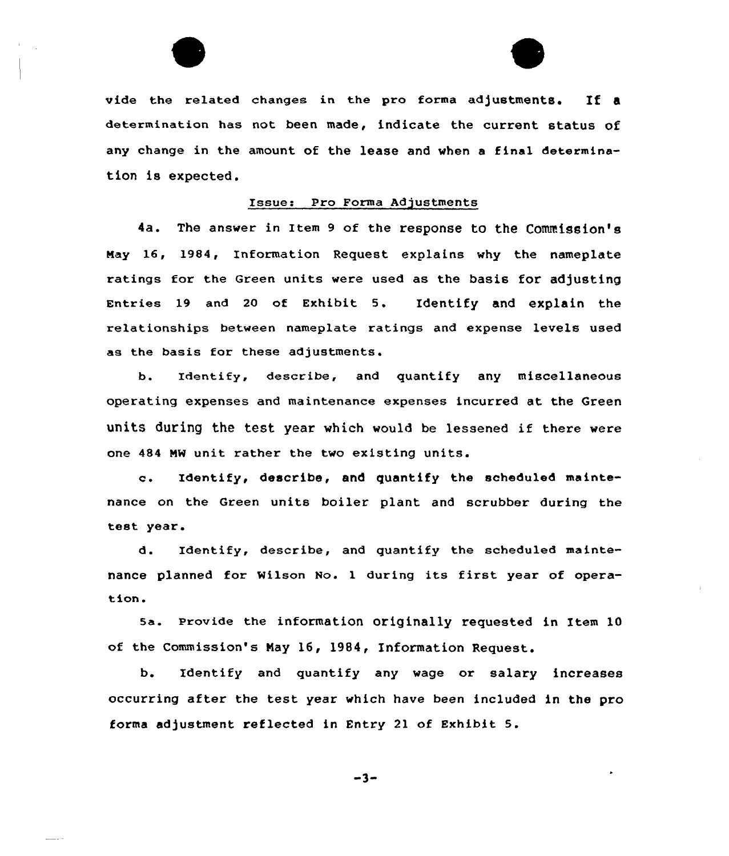

## Issue: Pro Forma Adjustments

4a. The answer in Item <sup>9</sup> of the response to the Conunission's Nay 16, 1984, Information Request explains why the nameplate ratings for the Green units were used as the basis for adjusting Entries 19 and <sup>20</sup> of Exhibit 5. Identify and explain the xelationships between nameplate xatings and expense levels used as the basis fox these adjustments.

b. Identify, describe, and quantify any miscellaneous operating expenses and maintenance expenses incurred at the Green units during the test year which would be lessened if there were one 484 MW unit rather the two existing units.

c. Identify> describe, and quantify the scheduled maintenance on the Green units boiler plant and scrubber during the test year.

d. Identify, descxibe, and quantify the scheduled maintenance planned for Wilson No. <sup>1</sup> during its first year of operation.

Se. provide the information originally requested in Item 10 of the Commission's May l6, 1984, Information Request.

b. Identify and quantify any wage or salary increases occurring after the test year which have been included in the pro forma adjustment reflected in Entry <sup>21</sup> of Exhibit 5.

 $-3-$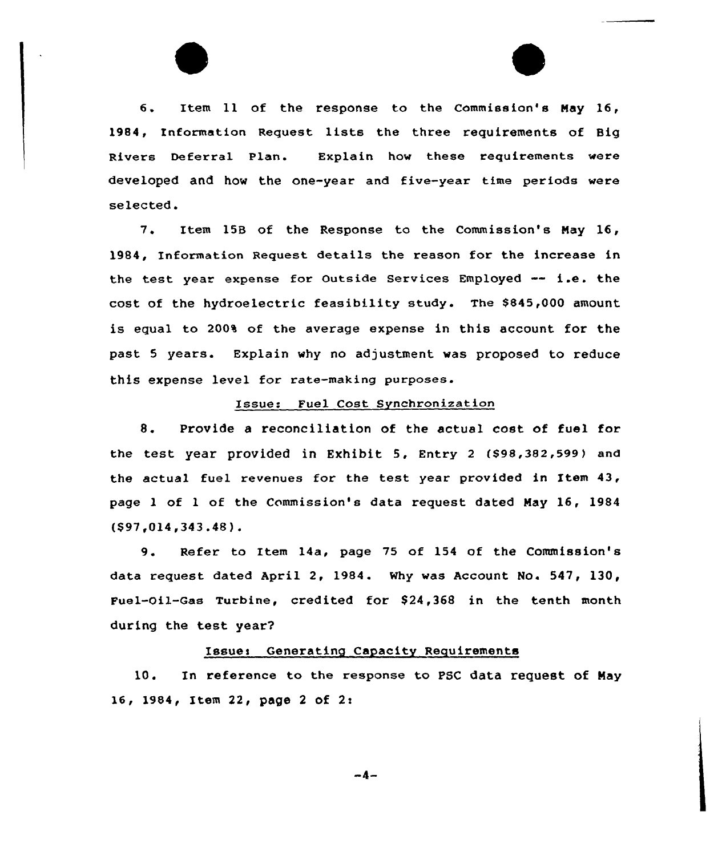6. Item ll of the response to the Commission's May 16, 1984, Information Request lists the three requirements of Big Rivers Deferral Plan. Explain how these requirements were developed and how the one-year and five-year time periods were selected.

7. Item 15B of the Response to the Commission's May 16, 1984, Information Request details the reason for the increase in the test year expense for Outside Services Employed -- i.e. the cost of the hydroelectric feasibility study. The S845,000 amount is equal to 200% of the average expense in this account for the past <sup>5</sup> years. Explain why no adjustment was proposed to reduce this expense level for rate-making purposes.

# Issue: Fuel Cost Synchronization

8. Provide <sup>a</sup> reconciliation of the actual cost of fuel for the test year provided in Exhibit 5, Entry <sup>2</sup> (S98,382,599) and the actual fuel revenues for the test year provided in Item 43, page 1 of <sup>1</sup> of the Commission's data request dated May 16, 1984 (\$97,014,343.48).

9. Refer to Item 14a, page 75 of 154 of the Commission's data request dated April 2, 1984. Why was Account No. 547, 130, Fuel-Oil-Gas Turbine, credited for \$24,368 in the tenth month during the test year?

# Issues Generating Capacity Requirements

10. In reference to the response to PSC data request of Nay 16, 1984, Item 22, page 2 of 2:

 $-4-$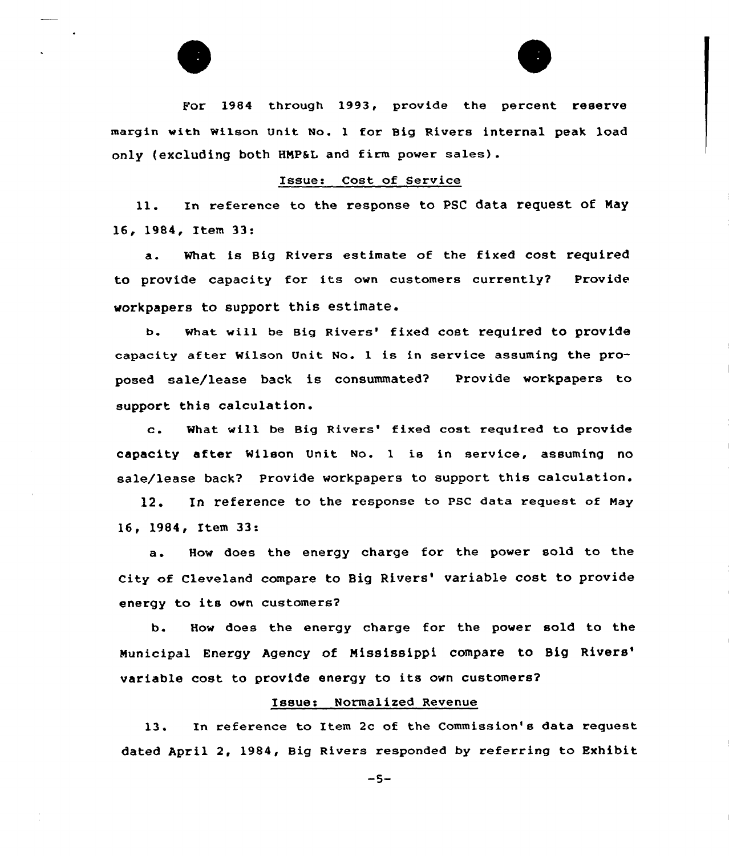

For 1984 through 1993, provide the percent reserve margin with wilson Unit No. <sup>1</sup> tor Big Rivers internal peak load only (excluding both HNPSL and firm power sales).

#### Issue: Cost of Service

ll. In reference to the response to PSC data request of Nay 16, 1984, Item 33:

a. What is Big Rivers estimate of the fixed cost required to provide capacity for its own customers currently? Provide workpapers to support this estimate.

b. What will be Big Rivers' fixed cost required to provide capacity after Wilson Unit No. <sup>1</sup> is in service assuming the proposed sale/lease back is consummated? Provide workpapers to support this calculation.

c. What will be Big Rivers' fixed cost required to provide capacity after Wilson Unit No. 1 is in service, assuming no sale/lease back? Provide workpapers to support this calculation.

12. In reference to the response to PSC data request of May 16, 1984, Item

How does the energy charge for the power sold to the  $a.$ City of Cleveland compare to Big Rivers' variable cost to provide energy to its own customers?

b. How does the energy charge for the power sold to the Municipal Energy Agency of Nississippi compare to Big variable cost to provide energy to its own customers?

# Issues Normalized Revenue

13. In reference to Item 2c of the Commission's data request dated April 2, 1984, Big Rivers responded by referring to Exhibit

 $-5-$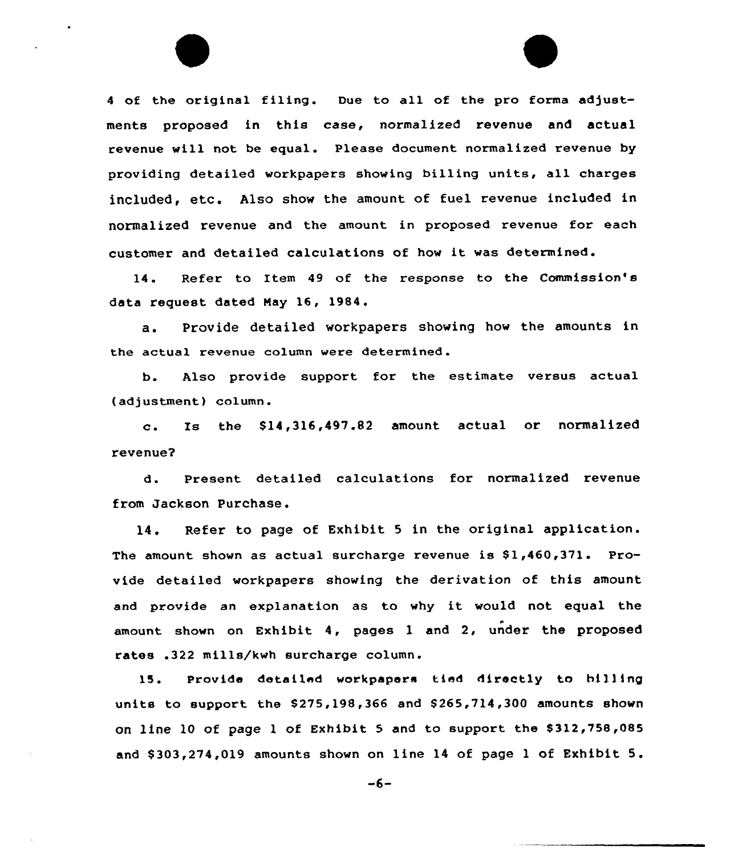4 of the original filing. Due to all of the pro forma adjustments proposed in this case, normalized revenue and actual revenue will not be equal. Please document normalized revenue by providing detailed workpapers showing billing units, all charges included, etc. Also show the amount of fuel revenue included in normalized revenue and the amount in proposed revenue for each customer and detailed calculations of how it was determined.

14. Refer to Item 49 of the response to the Commission's data request dated Nay 16, 1984.

a. Provide detailed workpapers showing how the amounts in the actual revenue column were determined.

b. Also provide support for the estimate versus actual (adjustment} column.

c. Xs the \$14,316,497.B2 amount actual or normalized revenue7

d. Present detailed calculations for normalized revenue from Jackson Purchase.

14. Refer to page of Exhibit <sup>5</sup> in the original application. The amount shown as actual surcharge revenue is  $$1,460,371$ . Provide detailed workpapers showing the derivation of this amount and provide an explanation as to why it would not equal the amount shown on Exhibit 4, pages 1 and 2, under the proposed rates .322 mills/kwh surcharge column.

15. Provide detailed workpapers tied directly to hil)fng units to support the \$275,198,366 and \$265,714,300 amounts shown on line 10 of page 1 of Exhibit 5 and to support the \$312,758,085 and \$303,274,019 amounts shown on line 14 of page 1 of Exhibit 5.

 $-6-$